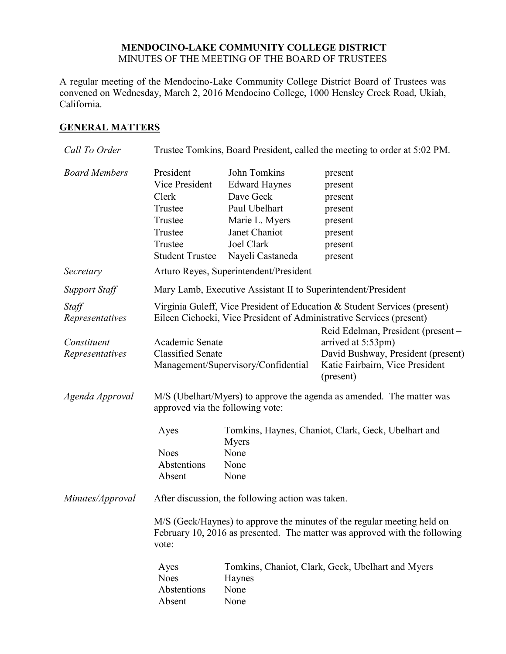### **MENDOCINO-LAKE COMMUNITY COLLEGE DISTRICT** MINUTES OF THE MEETING OF THE BOARD OF TRUSTEES

A regular meeting of the Mendocino-Lake Community College District Board of Trustees was convened on Wednesday, March 2, 2016 Mendocino College, 1000 Hensley Creek Road, Ukiah, California.

## **GENERAL MATTERS**

| Call To Order                           | Trustee Tomkins, Board President, called the meeting to order at 5:02 PM.                                                                                                                                                        |                                                                                                                                         |                                                                                      |  |  |
|-----------------------------------------|----------------------------------------------------------------------------------------------------------------------------------------------------------------------------------------------------------------------------------|-----------------------------------------------------------------------------------------------------------------------------------------|--------------------------------------------------------------------------------------|--|--|
| <b>Board Members</b>                    | President<br>Vice President<br>Clerk<br>Trustee<br>Trustee<br>Trustee<br>Trustee<br><b>Student Trustee</b>                                                                                                                       | John Tomkins<br><b>Edward Haynes</b><br>Dave Geck<br>Paul Ubelhart<br>Marie L. Myers<br>Janet Chaniot<br>Joel Clark<br>Nayeli Castaneda | present<br>present<br>present<br>present<br>present<br>present<br>present<br>present |  |  |
| Secretary                               | Arturo Reyes, Superintendent/President                                                                                                                                                                                           |                                                                                                                                         |                                                                                      |  |  |
| <b>Support Staff</b>                    | Mary Lamb, Executive Assistant II to Superintendent/President                                                                                                                                                                    |                                                                                                                                         |                                                                                      |  |  |
| Staff<br>Representatives<br>Constituent | Virginia Guleff, Vice President of Education & Student Services (present)<br>Eileen Cichocki, Vice President of Administrative Services (present)<br>Reid Edelman, President (present -<br>Academic Senate<br>arrived at 5:53pm) |                                                                                                                                         |                                                                                      |  |  |
| Representatives                         | <b>Classified Senate</b>                                                                                                                                                                                                         | Management/Supervisory/Confidential                                                                                                     | David Bushway, President (present)<br>Katie Fairbairn, Vice President<br>(present)   |  |  |
| Agenda Approval                         | M/S (Ubelhart/Myers) to approve the agenda as amended. The matter was<br>approved via the following vote:                                                                                                                        |                                                                                                                                         |                                                                                      |  |  |
|                                         | Ayes<br><b>Noes</b><br>Abstentions<br>Absent                                                                                                                                                                                     | Myers<br>None<br>None<br>None                                                                                                           | Tomkins, Haynes, Chaniot, Clark, Geck, Ubelhart and                                  |  |  |
| Minutes/Approval                        | After discussion, the following action was taken.                                                                                                                                                                                |                                                                                                                                         |                                                                                      |  |  |
|                                         | M/S (Geck/Haynes) to approve the minutes of the regular meeting held on<br>February 10, 2016 as presented. The matter was approved with the following<br>vote:                                                                   |                                                                                                                                         |                                                                                      |  |  |
|                                         | Ayes<br><b>Noes</b><br>Abstentions<br>Absent                                                                                                                                                                                     | Tomkins, Chaniot, Clark, Geck, Ubelhart and Myers<br>Haynes<br>None<br>None                                                             |                                                                                      |  |  |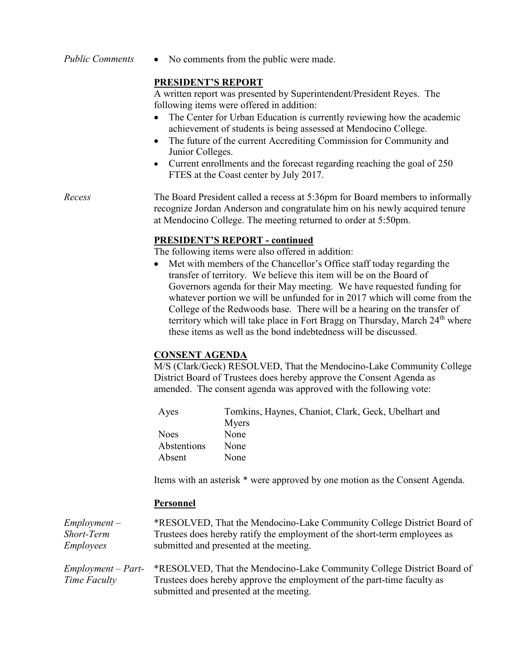*Public Comments* • No comments from the public were made.

## **PRESIDENT'S REPORT**

A written report was presented by Superintendent/President Reyes. The following items were offered in addition:

- The Center for Urban Education is currently reviewing how the academic achievement of students is being assessed at Mendocino College.
- The future of the current Accrediting Commission for Community and Junior Colleges.
- Current enrollments and the forecast regarding reaching the goal of 250 FTES at the Coast center by July 2017.

#### *Recess* The Board President called a recess at 5:36pm for Board members to informally recognize Jordan Anderson and congratulate him on his newly acquired tenure at Mendocino College. The meeting returned to order at 5:50pm.

## **PRESIDENT'S REPORT - continued**

The following items were also offered in addition:

• Met with members of the Chancellor's Office staff today regarding the transfer of territory. We believe this item will be on the Board of Governors agenda for their May meeting. We have requested funding for whatever portion we will be unfunded for in 2017 which will come from the College of the Redwoods base. There will be a hearing on the transfer of territory which will take place in Fort Bragg on Thursday, March 24<sup>th</sup> where these items as well as the bond indebtedness will be discussed.

# **CONSENT AGENDA**

M/S (Clark/Geck) RESOLVED, That the Mendocino-Lake Community College District Board of Trustees does hereby approve the Consent Agenda as amended. The consent agenda was approved with the following vote:

| Aves        | Tomkins, Haynes, Chaniot, Clark, Geck, Ubelhart and |
|-------------|-----------------------------------------------------|
|             | Myers                                               |
| <b>Noes</b> | None                                                |
| Abstentions | None                                                |
| Absent      | None                                                |

Items with an asterisk \* were approved by one motion as the Consent Agenda.

### **Personnel**

| $Employment -$   | *RESOLVED, That the Mendocino-Lake Community College District Board of    |
|------------------|---------------------------------------------------------------------------|
| Short-Term       | Trustees does hereby ratify the employment of the short-term employees as |
| <i>Employees</i> | submitted and presented at the meeting.                                   |
|                  |                                                                           |

*Employment – Part-Time Faculty* \*RESOLVED, That the Mendocino-Lake Community College District Board of Trustees does hereby approve the employment of the part-time faculty as submitted and presented at the meeting.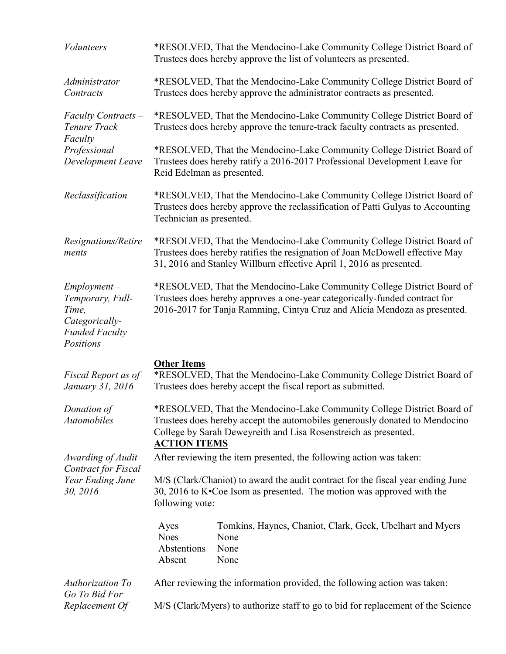| <b>Volunteers</b>                                                                                   | *RESOLVED, That the Mendocino-Lake Community College District Board of<br>Trustees does hereby approve the list of volunteers as presented.                                                                                                     |                                                                                                                                                                                                                                   |  |
|-----------------------------------------------------------------------------------------------------|-------------------------------------------------------------------------------------------------------------------------------------------------------------------------------------------------------------------------------------------------|-----------------------------------------------------------------------------------------------------------------------------------------------------------------------------------------------------------------------------------|--|
| Administrator<br>Contracts                                                                          | *RESOLVED, That the Mendocino-Lake Community College District Board of<br>Trustees does hereby approve the administrator contracts as presented.                                                                                                |                                                                                                                                                                                                                                   |  |
| Faculty Contracts –<br>Tenure Track<br>Faculty<br>Professional<br>Development Leave                 |                                                                                                                                                                                                                                                 | *RESOLVED, That the Mendocino-Lake Community College District Board of<br>Trustees does hereby approve the tenure-track faculty contracts as presented.                                                                           |  |
|                                                                                                     | Reid Edelman as presented.                                                                                                                                                                                                                      | *RESOLVED, That the Mendocino-Lake Community College District Board of<br>Trustees does hereby ratify a 2016-2017 Professional Development Leave for                                                                              |  |
| Reclassification                                                                                    | *RESOLVED, That the Mendocino-Lake Community College District Board of<br>Trustees does hereby approve the reclassification of Patti Gulyas to Accounting<br>Technician as presented.                                                           |                                                                                                                                                                                                                                   |  |
| Resignations/Retire<br>ments                                                                        | *RESOLVED, That the Mendocino-Lake Community College District Board of<br>Trustees does hereby ratifies the resignation of Joan McDowell effective May<br>31, 2016 and Stanley Willburn effective April 1, 2016 as presented.                   |                                                                                                                                                                                                                                   |  |
| $Employment -$<br>Temporary, Full-<br>Time,<br>Categorically-<br><b>Funded Faculty</b><br>Positions |                                                                                                                                                                                                                                                 | *RESOLVED, That the Mendocino-Lake Community College District Board of<br>Trustees does hereby approves a one-year categorically-funded contract for<br>2016-2017 for Tanja Ramming, Cintya Cruz and Alicia Mendoza as presented. |  |
| Fiscal Report as of<br>January 31, 2016                                                             | <b>Other Items</b>                                                                                                                                                                                                                              | *RESOLVED, That the Mendocino-Lake Community College District Board of<br>Trustees does hereby accept the fiscal report as submitted.                                                                                             |  |
| Donation of<br><i>Automobiles</i>                                                                   | *RESOLVED, That the Mendocino-Lake Community College District Board of<br>Trustees does hereby accept the automobiles generously donated to Mendocino<br>College by Sarah Deweyreith and Lisa Rosenstreich as presented.<br><b>ACTION ITEMS</b> |                                                                                                                                                                                                                                   |  |
| Awarding of Audit<br><b>Contract for Fiscal</b><br>Year Ending June<br>30, 2016                     |                                                                                                                                                                                                                                                 | After reviewing the item presented, the following action was taken:                                                                                                                                                               |  |
|                                                                                                     | M/S (Clark/Chaniot) to award the audit contract for the fiscal year ending June<br>30, 2016 to K. Coe Isom as presented. The motion was approved with the<br>following vote:                                                                    |                                                                                                                                                                                                                                   |  |
|                                                                                                     | Ayes<br><b>Noes</b><br>Abstentions<br>Absent                                                                                                                                                                                                    | Tomkins, Haynes, Chaniot, Clark, Geck, Ubelhart and Myers<br>None<br>None<br>None                                                                                                                                                 |  |
| Authorization To                                                                                    | After reviewing the information provided, the following action was taken:                                                                                                                                                                       |                                                                                                                                                                                                                                   |  |
| Go To Bid For<br>Replacement Of                                                                     |                                                                                                                                                                                                                                                 | M/S (Clark/Myers) to authorize staff to go to bid for replacement of the Science                                                                                                                                                  |  |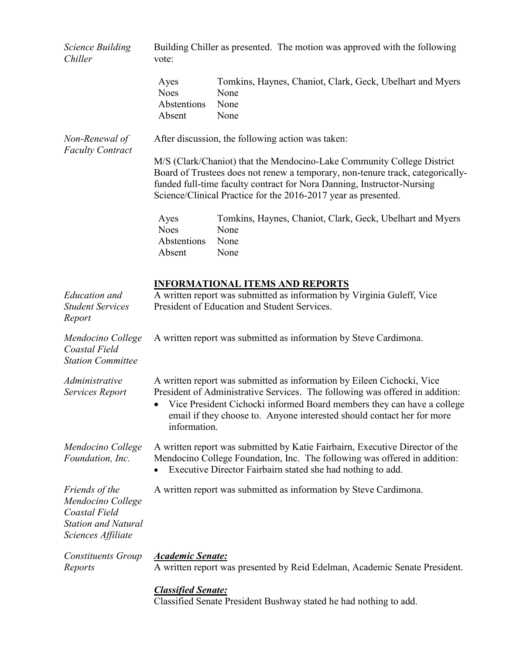| <i>Science Building</i><br>Chiller                                                                       | Building Chiller as presented. The motion was approved with the following<br>vote:                                                                                                                                                                                                                                         |                                                                                   |  |
|----------------------------------------------------------------------------------------------------------|----------------------------------------------------------------------------------------------------------------------------------------------------------------------------------------------------------------------------------------------------------------------------------------------------------------------------|-----------------------------------------------------------------------------------|--|
|                                                                                                          | Ayes<br><b>Noes</b><br>Abstentions<br>Absent                                                                                                                                                                                                                                                                               | Tomkins, Haynes, Chaniot, Clark, Geck, Ubelhart and Myers<br>None<br>None<br>None |  |
| Non-Renewal of                                                                                           | After discussion, the following action was taken:                                                                                                                                                                                                                                                                          |                                                                                   |  |
| <b>Faculty Contract</b>                                                                                  | M/S (Clark/Chaniot) that the Mendocino-Lake Community College District<br>Board of Trustees does not renew a temporary, non-tenure track, categorically-<br>funded full-time faculty contract for Nora Danning, Instructor-Nursing<br>Science/Clinical Practice for the 2016-2017 year as presented.                       |                                                                                   |  |
|                                                                                                          | Ayes<br><b>Noes</b><br>Abstentions<br>Absent                                                                                                                                                                                                                                                                               | Tomkins, Haynes, Chaniot, Clark, Geck, Ubelhart and Myers<br>None<br>None<br>None |  |
| <b>Education</b> and<br><b>Student Services</b><br>Report                                                | <b>INFORMATIONAL ITEMS AND REPORTS</b><br>A written report was submitted as information by Virginia Guleff, Vice<br>President of Education and Student Services.                                                                                                                                                           |                                                                                   |  |
| Mendocino College<br>Coastal Field<br><b>Station Committee</b>                                           | A written report was submitted as information by Steve Cardimona.                                                                                                                                                                                                                                                          |                                                                                   |  |
| Administrative<br>Services Report                                                                        | A written report was submitted as information by Eileen Cichocki, Vice<br>President of Administrative Services. The following was offered in addition:<br>Vice President Cichocki informed Board members they can have a college<br>email if they choose to. Anyone interested should contact her for more<br>information. |                                                                                   |  |
| Mendocino College<br>Foundation, Inc.                                                                    | A written report was submitted by Katie Fairbairn, Executive Director of the<br>Mendocino College Foundation, Inc. The following was offered in addition:<br>Executive Director Fairbairn stated she had nothing to add.                                                                                                   |                                                                                   |  |
| Friends of the<br>Mendocino College<br>Coastal Field<br><b>Station and Natural</b><br>Sciences Affiliate | A written report was submitted as information by Steve Cardimona.                                                                                                                                                                                                                                                          |                                                                                   |  |
| <b>Constituents Group</b><br>Reports                                                                     | <b>Academic Senate:</b>                                                                                                                                                                                                                                                                                                    | A written report was presented by Reid Edelman, Academic Senate President.        |  |
|                                                                                                          | <b>Classified Senate:</b>                                                                                                                                                                                                                                                                                                  | Classified Senate President Bushway stated he had nothing to add.                 |  |